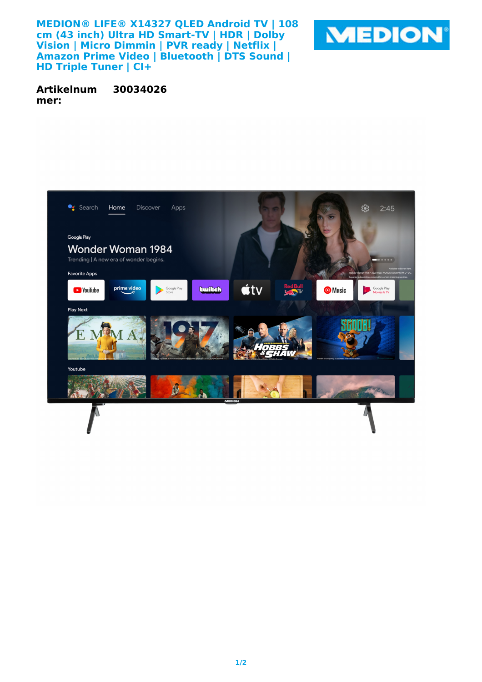**MEDION® LIFE® X14327 QLED Android TV | 108 cm (43 inch) Ultra HD Smart-TV | HDR | Dolby Vision | Micro Dimmin | PVR ready | Netflix |** Amazon Prime Video | Bluetooth | DTS Sound | **HD Triple Tuner | CI+**



**Artikelnum mer: 30034026**